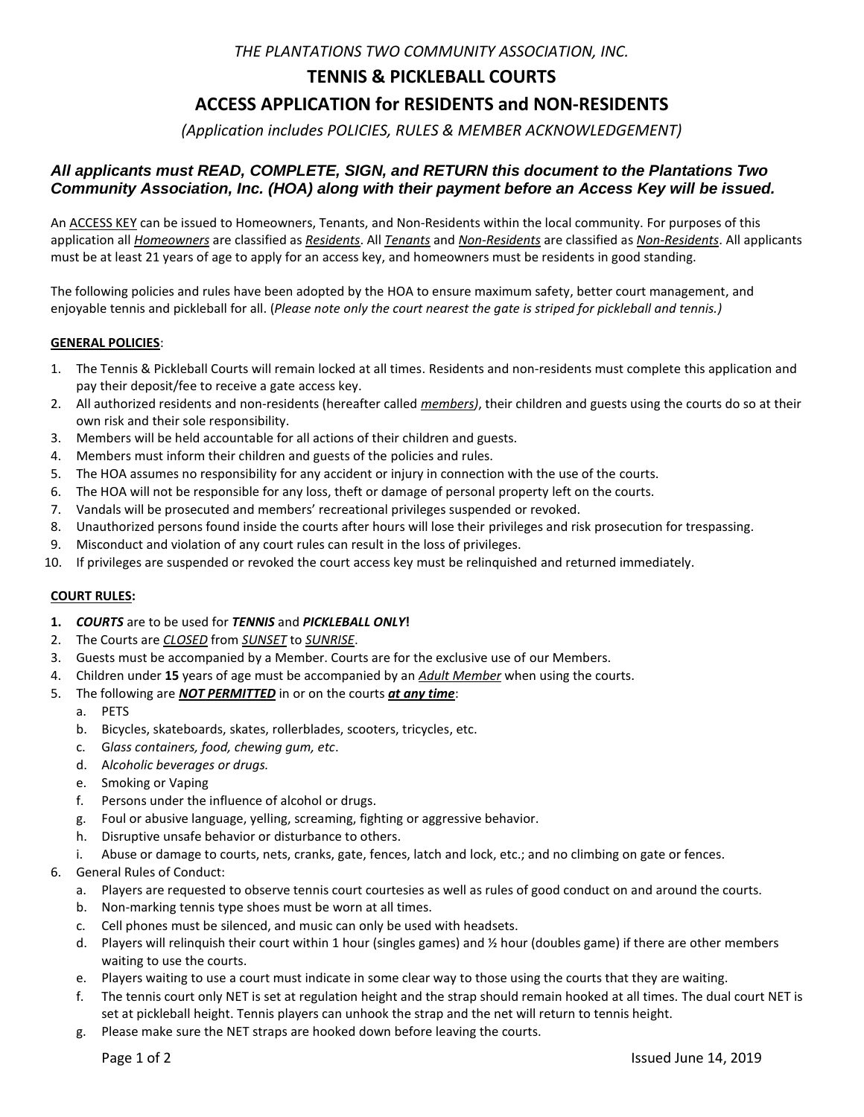*THE PLANTATIONS TWO COMMUNITY ASSOCIATION, INC.* 

# **TENNIS & PICKLEBALL COURTS**

# **ACCESS APPLICATION for RESIDENTS and NON-RESIDENTS**

*(Application includes POLICIES, RULES & MEMBER ACKNOWLEDGEMENT)* 

## *All applicants must READ, COMPLETE, SIGN, and RETURN this document to the Plantations Two Community Association, Inc. (HOA) along with their payment before an Access Key will be issued.*

An ACCESS KEY can be issued to Homeowners, Tenants, and Non-Residents within the local community. For purposes of this application all *Homeowners* are classified as *Residents*. All *Tenants* and *Non-Residents* are classified as *Non-Residents*. All applicants must be at least 21 years of age to apply for an access key, and homeowners must be residents in good standing.

The following policies and rules have been adopted by the HOA to ensure maximum safety, better court management, and enjoyable tennis and pickleball for all. (*Please note only the court nearest the gate is striped for pickleball and tennis.)* 

## **GENERAL POLICIES**:

- 1. The Tennis & Pickleball Courts will remain locked at all times. Residents and non-residents must complete this application and pay their deposit/fee to receive a gate access key.
- 2. All authorized residents and non-residents (hereafter called *members)*, their children and guests using the courts do so at their own risk and their sole responsibility.
- 3. Members will be held accountable for all actions of their children and guests.
- 4. Members must inform their children and guests of the policies and rules.
- 5. The HOA assumes no responsibility for any accident or injury in connection with the use of the courts.
- 6. The HOA will not be responsible for any loss, theft or damage of personal property left on the courts.
- 7. Vandals will be prosecuted and members' recreational privileges suspended or revoked.
- 8. Unauthorized persons found inside the courts after hours will lose their privileges and risk prosecution for trespassing.
- 9. Misconduct and violation of any court rules can result in the loss of privileges.
- 10. If privileges are suspended or revoked the court access key must be relinquished and returned immediately.

### **COURT RULES:**

- **1.** *COURTS* are to be used for *TENNIS* and *PICKLEBALL ONLY***!**
- 2. The Courts are *CLOSED* from *SUNSET* to *SUNRISE*.
- 3. Guests must be accompanied by a Member. Courts are for the exclusive use of our Members.
- 4. Children under **15** years of age must be accompanied by an *Adult Member* when using the courts.
- 5. The following are *NOT PERMITTED* in or on the courts *at any time*:
	- a. PETS
	- b. Bicycles, skateboards, skates, rollerblades, scooters, tricycles, etc.
	- c. G*lass containers, food, chewing gum, etc*.
	- d. A*lcoholic beverages or drugs.*
	- e. Smoking or Vaping
	- f. Persons under the influence of alcohol or drugs.
	- g. Foul or abusive language, yelling, screaming, fighting or aggressive behavior.
	- h. Disruptive unsafe behavior or disturbance to others.
	- i. Abuse or damage to courts, nets, cranks, gate, fences, latch and lock, etc.; and no climbing on gate or fences.
- 6. General Rules of Conduct:
	- a. Players are requested to observe tennis court courtesies as well as rules of good conduct on and around the courts.
	- b. Non-marking tennis type shoes must be worn at all times.
	- c. Cell phones must be silenced, and music can only be used with headsets.
	- d. Players will relinquish their court within 1 hour (singles games) and ½ hour (doubles game) if there are other members waiting to use the courts.
	- e. Players waiting to use a court must indicate in some clear way to those using the courts that they are waiting.
	- f. The tennis court only NET is set at regulation height and the strap should remain hooked at all times. The dual court NET is set at pickleball height. Tennis players can unhook the strap and the net will return to tennis height.
	- g. Please make sure the NET straps are hooked down before leaving the courts.